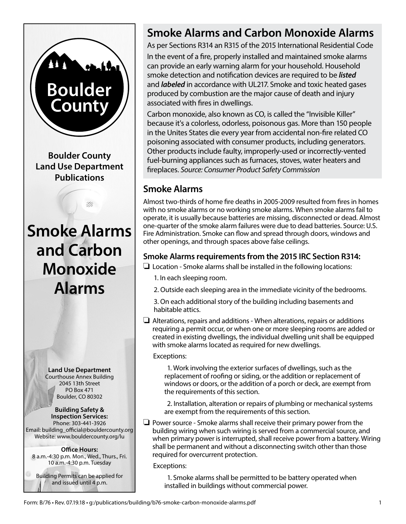

# **Smoke Alarms and Carbon Monoxide Alarms**

As per Sections R314 an R315 of the 2015 International Residential Code In the event of a fire, properly installed and maintained smoke alarms can provide an early warning alarm for your household. Household smoke detection and notification devices are required to be *listed*  and *labeled* in accordance with UL217. Smoke and toxic heated gases produced by combustion are the major cause of death and injury associated with fires in dwellings.

Carbon monoxide, also known as CO, is called the "Invisible Killer" because it's a colorless, odorless, poisonous gas. More than 150 people in the Unites States die every year from accidental non-fire related CO poisoning associated with consumer products, including generators. Other products include faulty, improperly-used or incorrectly-vented fuel-burning appliances such as furnaces, stoves, water heaters and fireplaces. *Source: Consumer Product Safety Commission* 

# **Smoke Alarms**

Almost two-thirds of home fire deaths in 2005-2009 resulted from fires in homes with no smoke alarms or no working smoke alarms. When smoke alarms fail to operate, it is usually because batteries are missing, disconnected or dead. Almost one-quarter of the smoke alarm failures were due to dead batteries. Source: U.S. Fire Administration. Smoke can flow and spread through doors, windows and other openings, and through spaces above false ceilings.

## **Smoke Alarms requirements from the 2015 IRC Section R314:**

- $\Box$  Location Smoke alarms shall be installed in the following locations:
	- 1. In each sleeping room.
	- 2. Outside each sleeping area in the immediate vicinity of the bedrooms.

3. On each additional story of the building including basements and habitable attics.

 $\Box$  Alterations, repairs and additions - When alterations, repairs or additions requiring a permit occur, or when one or more sleeping rooms are added or created in existing dwellings, the individual dwelling unit shall be equipped with smoke alarms located as required for new dwellings.

### Exceptions:

1. Work involving the exterior surfaces of dwellings, such as the replacement of roofing or siding, or the addition or replacement of windows or doors, or the addition of a porch or deck, are exempt from the requirements of this section.

2. Installation, alteration or repairs of plumbing or mechanical systems are exempt from the requirements of this section.

 $\Box$  Power source - Smoke alarms shall receive their primary power from the building wiring when such wiring is served from a commercial source, and when primary power is interrupted, shall receive power from a battery. Wiring shall be permanent and without a disconnecting switch other than those required for overcurrent protection.

Exceptions:

1. Smoke alarms shall be permitted to be battery operated when installed in buildings without commercial power.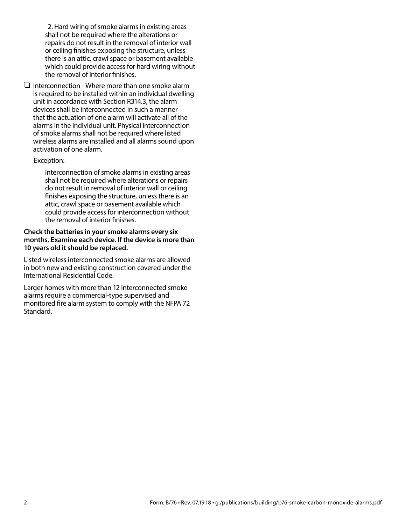2. Hard wiring of smoke alarms in existing areas shall not be required where the alterations or repairs do not result in the removal of interior wall or ceiling finishes exposing the structure, unless there is an attic, crawl space or basement available which could provide access for hard wiring without the removal of interior finishes.

 $\Box$  Interconnection - Where more than one smoke alarm is required to be installed within an individual dwelling unit in accordance with Section R314.3, the alarm devices shall be interconnected in such a manner that the actuation of one alarm will activate all of the alarms in the individual unit. Physical interconnection of smoke alarms shall not be required where listed wireless alarms are installed and all alarms sound upon activation of one alarm.

#### Exception:

Interconnection of smoke alarms in existing areas shall not be required where alterations or repairs do not result in removal of interior wall or ceiling finishes exposing the structure, unless there is an attic, crawl space or basement available which could provide access for interconnection without the removal of interior finishes.

#### **Check the batteries in your smoke alarms every six months. Examine each device. If the device is more than 10 years old it should be replaced.**

Listed wireless interconnected smoke alarms are allowed in both new and existing construction covered under the International Residential Code.

Larger homes with more than 12 interconnected smoke alarms require a commercial-type supervised and monitored fire alarm system to comply with the NFPA 72 Standard.